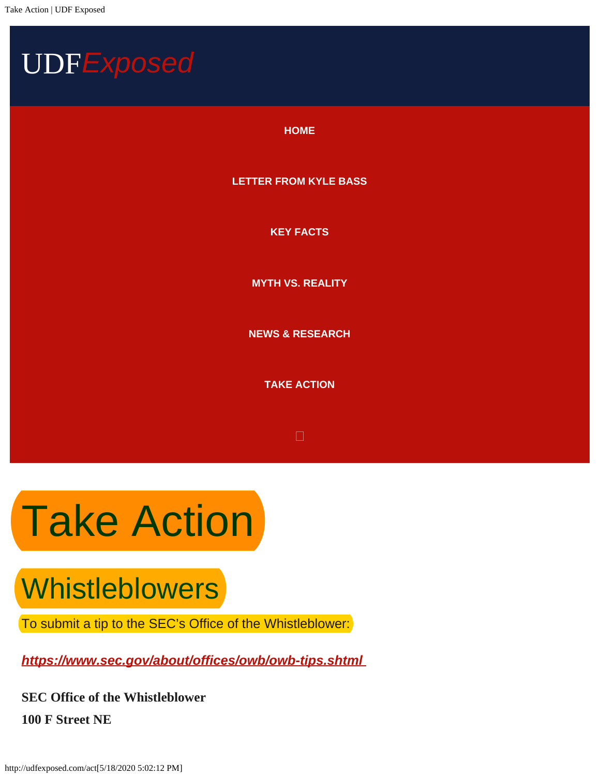<span id="page-0-0"></span>

## **Take Action**

## **Whistleblowers**

To submit a tip to the SEC's Office of the Whistleblower:

*<https://www.sec.gov/about/offices/owb/owb-tips.shtml>*

**SEC Office of the Whistleblower 100 F Street NE**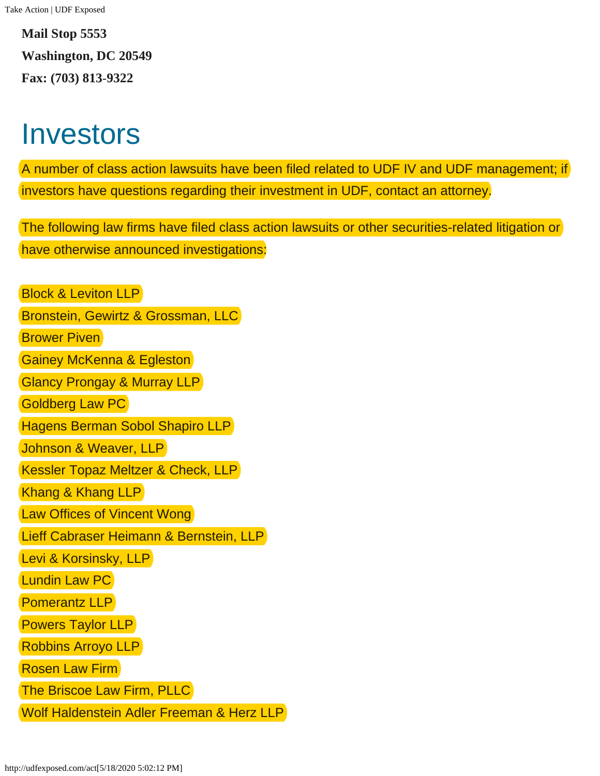**Mail Stop 5553 Washington, DC 20549 Fax: (703) 813**‐**9322**

## Investors

A number of class action lawsuits have been filed related to UDF IV and UDF management; if investors have questions regarding their investment in UDF, contact an attorney.

The following law firms have filed class action lawsuits or other securities-related litigation or have otherwise announced investigations:

Block & Leviton LLP Bronstein, Gewirtz & Grossman, LLC **Brower Piven** Gainey McKenna & Egleston Glancy Prongay & Murray LLP Goldberg Law PC Hagens Berman Sobol Shapiro LLP Johnson & Weaver, LLP Kessler Topaz Meltzer & Check, LLP Khang & Khang LLP **Law Offices of Vincent Wong** Lieff Cabraser Heimann & Bernstein, LLP Levi & Korsinsky, LLP Lundin Law PC Pomerantz LLP Powers Taylor LLP Robbins Arroyo LLP Rosen Law Firm The Briscoe Law Firm, PLLC Wolf Haldenstein Adler Freeman & Herz LLP